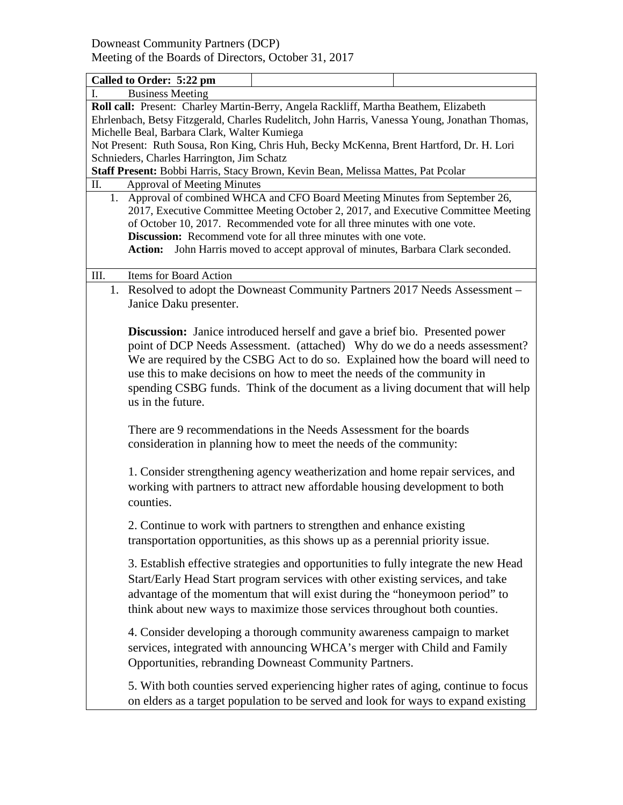Downeast Community Partners (DCP) Meeting of the Boards of Directors, October 31, 2017

|                                                                                          | Called to Order: 5:22 pm                                                                                                                                                                                                                                                                                                                                                                                           |                                                                                                                                                                                                                                                                                                                                                                                                                 |  |  |  |
|------------------------------------------------------------------------------------------|--------------------------------------------------------------------------------------------------------------------------------------------------------------------------------------------------------------------------------------------------------------------------------------------------------------------------------------------------------------------------------------------------------------------|-----------------------------------------------------------------------------------------------------------------------------------------------------------------------------------------------------------------------------------------------------------------------------------------------------------------------------------------------------------------------------------------------------------------|--|--|--|
| I.                                                                                       | <b>Business Meeting</b>                                                                                                                                                                                                                                                                                                                                                                                            |                                                                                                                                                                                                                                                                                                                                                                                                                 |  |  |  |
|                                                                                          |                                                                                                                                                                                                                                                                                                                                                                                                                    | Roll call: Present: Charley Martin-Berry, Angela Rackliff, Martha Beathem, Elizabeth                                                                                                                                                                                                                                                                                                                            |  |  |  |
|                                                                                          |                                                                                                                                                                                                                                                                                                                                                                                                                    | Ehrlenbach, Betsy Fitzgerald, Charles Rudelitch, John Harris, Vanessa Young, Jonathan Thomas,                                                                                                                                                                                                                                                                                                                   |  |  |  |
|                                                                                          | Michelle Beal, Barbara Clark, Walter Kumiega                                                                                                                                                                                                                                                                                                                                                                       |                                                                                                                                                                                                                                                                                                                                                                                                                 |  |  |  |
| Not Present: Ruth Sousa, Ron King, Chris Huh, Becky McKenna, Brent Hartford, Dr. H. Lori |                                                                                                                                                                                                                                                                                                                                                                                                                    |                                                                                                                                                                                                                                                                                                                                                                                                                 |  |  |  |
| Schnieders, Charles Harrington, Jim Schatz                                               |                                                                                                                                                                                                                                                                                                                                                                                                                    |                                                                                                                                                                                                                                                                                                                                                                                                                 |  |  |  |
| Staff Present: Bobbi Harris, Stacy Brown, Kevin Bean, Melissa Mattes, Pat Pcolar         |                                                                                                                                                                                                                                                                                                                                                                                                                    |                                                                                                                                                                                                                                                                                                                                                                                                                 |  |  |  |
| П.                                                                                       | <b>Approval of Meeting Minutes</b>                                                                                                                                                                                                                                                                                                                                                                                 |                                                                                                                                                                                                                                                                                                                                                                                                                 |  |  |  |
|                                                                                          | 1. Approval of combined WHCA and CFO Board Meeting Minutes from September 26,<br>2017, Executive Committee Meeting October 2, 2017, and Executive Committee Meeting<br>of October 10, 2017. Recommended vote for all three minutes with one vote.<br>Discussion: Recommend vote for all three minutes with one vote.<br>John Harris moved to accept approval of minutes, Barbara Clark seconded.<br><b>Action:</b> |                                                                                                                                                                                                                                                                                                                                                                                                                 |  |  |  |
| III.                                                                                     | Items for Board Action                                                                                                                                                                                                                                                                                                                                                                                             |                                                                                                                                                                                                                                                                                                                                                                                                                 |  |  |  |
|                                                                                          | 1. Resolved to adopt the Downeast Community Partners 2017 Needs Assessment -<br>Janice Daku presenter.                                                                                                                                                                                                                                                                                                             |                                                                                                                                                                                                                                                                                                                                                                                                                 |  |  |  |
|                                                                                          | us in the future.                                                                                                                                                                                                                                                                                                                                                                                                  | <b>Discussion:</b> Janice introduced herself and gave a brief bio. Presented power<br>point of DCP Needs Assessment. (attached) Why do we do a needs assessment?<br>We are required by the CSBG Act to do so. Explained how the board will need to<br>use this to make decisions on how to meet the needs of the community in<br>spending CSBG funds. Think of the document as a living document that will help |  |  |  |
|                                                                                          |                                                                                                                                                                                                                                                                                                                                                                                                                    | There are 9 recommendations in the Needs Assessment for the boards<br>consideration in planning how to meet the needs of the community:                                                                                                                                                                                                                                                                         |  |  |  |
|                                                                                          | counties.                                                                                                                                                                                                                                                                                                                                                                                                          | 1. Consider strengthening agency weatherization and home repair services, and<br>working with partners to attract new affordable housing development to both                                                                                                                                                                                                                                                    |  |  |  |
|                                                                                          |                                                                                                                                                                                                                                                                                                                                                                                                                    | 2. Continue to work with partners to strengthen and enhance existing<br>transportation opportunities, as this shows up as a perennial priority issue.                                                                                                                                                                                                                                                           |  |  |  |
|                                                                                          |                                                                                                                                                                                                                                                                                                                                                                                                                    | 3. Establish effective strategies and opportunities to fully integrate the new Head<br>Start/Early Head Start program services with other existing services, and take<br>advantage of the momentum that will exist during the "honeymoon period" to<br>think about new ways to maximize those services throughout both counties.                                                                                |  |  |  |
|                                                                                          |                                                                                                                                                                                                                                                                                                                                                                                                                    | 4. Consider developing a thorough community awareness campaign to market<br>services, integrated with announcing WHCA's merger with Child and Family<br>Opportunities, rebranding Downeast Community Partners.                                                                                                                                                                                                  |  |  |  |
|                                                                                          |                                                                                                                                                                                                                                                                                                                                                                                                                    | 5. With both counties served experiencing higher rates of aging, continue to focus<br>on elders as a target population to be served and look for ways to expand existing                                                                                                                                                                                                                                        |  |  |  |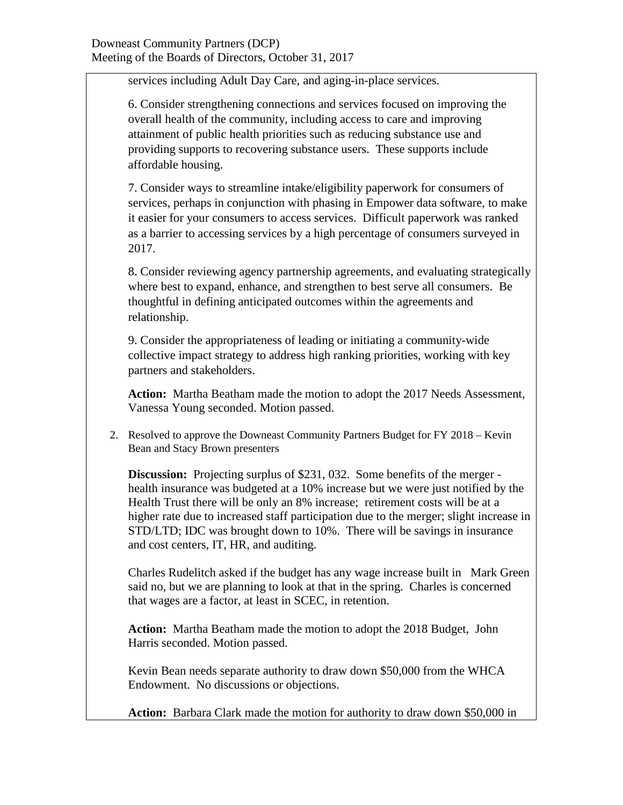services including Adult Day Care, and aging-in-place services.

6. Consider strengthening connections and services focused on improving the overall health of the community, including access to care and improving attainment of public health priorities such as reducing substance use and providing supports to recovering substance users. These supports include affordable housing.

7. Consider ways to streamline intake/eligibility paperwork for consumers of services, perhaps in conjunction with phasing in Empower data software, to make it easier for your consumers to access services. Difficult paperwork was ranked as a barrier to accessing services by a high percentage of consumers surveyed in 2017.

8. Consider reviewing agency partnership agreements, and evaluating strategically where best to expand, enhance, and strengthen to best serve all consumers. Be thoughtful in defining anticipated outcomes within the agreements and relationship.

9. Consider the appropriateness of leading or initiating a community-wide collective impact strategy to address high ranking priorities, working with key partners and stakeholders.

**Action:** Martha Beatham made the motion to adopt the 2017 Needs Assessment, Vanessa Young seconded. Motion passed.

2. Resolved to approve the Downeast Community Partners Budget for FY 2018 – Kevin Bean and Stacy Brown presenters

**Discussion:** Projecting surplus of \$231, 032. Some benefits of the merger health insurance was budgeted at a 10% increase but we were just notified by the Health Trust there will be only an 8% increase; retirement costs will be at a higher rate due to increased staff participation due to the merger; slight increase in STD/LTD; IDC was brought down to 10%. There will be savings in insurance and cost centers, IT, HR, and auditing.

Charles Rudelitch asked if the budget has any wage increase built in Mark Green said no, but we are planning to look at that in the spring. Charles is concerned that wages are a factor, at least in SCEC, in retention.

**Action:** Martha Beatham made the motion to adopt the 2018 Budget, John Harris seconded. Motion passed.

Kevin Bean needs separate authority to draw down \$50,000 from the WHCA Endowment. No discussions or objections.

**Action:** Barbara Clark made the motion for authority to draw down \$50,000 in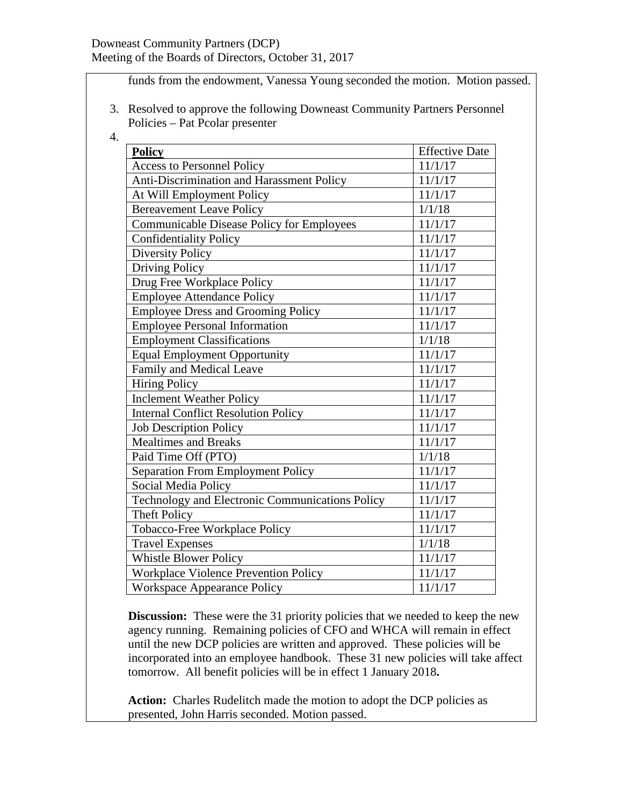funds from the endowment, Vanessa Young seconded the motion. Motion passed.

- 3. Resolved to approve the following Downeast Community Partners Personnel Policies – Pat Pcolar presenter
- 4.

| <b>Policy</b>                                   | <b>Effective Date</b> |
|-------------------------------------------------|-----------------------|
| <b>Access to Personnel Policy</b>               | 11/1/17               |
| Anti-Discrimination and Harassment Policy       | 11/1/17               |
| At Will Employment Policy                       | 11/1/17               |
| <b>Bereavement Leave Policy</b>                 | 1/1/18                |
| Communicable Disease Policy for Employees       | 11/1/17               |
| <b>Confidentiality Policy</b>                   | 11/1/17               |
| <b>Diversity Policy</b>                         | 11/1/17               |
| Driving Policy                                  | 11/1/17               |
| Drug Free Workplace Policy                      | 11/1/17               |
| <b>Employee Attendance Policy</b>               | 11/1/17               |
| <b>Employee Dress and Grooming Policy</b>       | 11/1/17               |
| <b>Employee Personal Information</b>            | 11/1/17               |
| <b>Employment Classifications</b>               | 1/1/18                |
| <b>Equal Employment Opportunity</b>             | 11/1/17               |
| Family and Medical Leave                        | 11/1/17               |
| <b>Hiring Policy</b>                            | 11/1/17               |
| <b>Inclement Weather Policy</b>                 | 11/1/17               |
| <b>Internal Conflict Resolution Policy</b>      | 11/1/17               |
| <b>Job Description Policy</b>                   | 11/1/17               |
| <b>Mealtimes and Breaks</b>                     | 11/1/17               |
| Paid Time Off (PTO)                             | 1/1/18                |
| <b>Separation From Employment Policy</b>        | 11/1/17               |
| Social Media Policy                             | 11/1/17               |
| Technology and Electronic Communications Policy | 11/1/17               |
| <b>Theft Policy</b>                             | 11/1/17               |
| Tobacco-Free Workplace Policy                   | 11/1/17               |
| <b>Travel Expenses</b>                          | 1/1/18                |
| Whistle Blower Policy                           | 11/1/17               |
| Workplace Violence Prevention Policy            | 11/1/17               |
| <b>Workspace Appearance Policy</b>              | 11/1/17               |

**Discussion:** These were the 31 priority policies that we needed to keep the new agency running. Remaining policies of CFO and WHCA will remain in effect until the new DCP policies are written and approved. These policies will be incorporated into an employee handbook. These 31 new policies will take affect tomorrow. All benefit policies will be in effect 1 January 2018**.** 

**Action:** Charles Rudelitch made the motion to adopt the DCP policies as presented, John Harris seconded. Motion passed.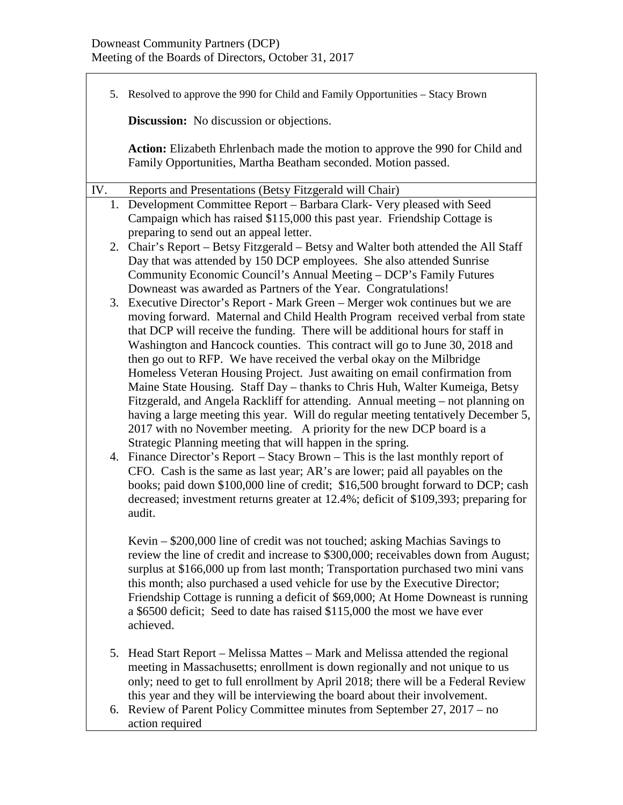$\Gamma$ 

|     | 5. Resolved to approve the 990 for Child and Family Opportunities – Stacy Brown                                                                           |  |  |
|-----|-----------------------------------------------------------------------------------------------------------------------------------------------------------|--|--|
|     | <b>Discussion:</b> No discussion or objections.                                                                                                           |  |  |
|     | Action: Elizabeth Ehrlenbach made the motion to approve the 990 for Child and<br>Family Opportunities, Martha Beatham seconded. Motion passed.            |  |  |
| IV. | Reports and Presentations (Betsy Fitzgerald will Chair)                                                                                                   |  |  |
|     | 1. Development Committee Report – Barbara Clark- Very pleased with Seed                                                                                   |  |  |
|     | Campaign which has raised \$115,000 this past year. Friendship Cottage is                                                                                 |  |  |
|     | preparing to send out an appeal letter.                                                                                                                   |  |  |
|     | 2. Chair's Report – Betsy Fitzgerald – Betsy and Walter both attended the All Staff                                                                       |  |  |
|     | Day that was attended by 150 DCP employees. She also attended Sunrise<br>Community Economic Council's Annual Meeting - DCP's Family Futures               |  |  |
|     | Downeast was awarded as Partners of the Year. Congratulations!                                                                                            |  |  |
|     | 3. Executive Director's Report - Mark Green – Merger wok continues but we are                                                                             |  |  |
|     | moving forward. Maternal and Child Health Program received verbal from state                                                                              |  |  |
|     | that DCP will receive the funding. There will be additional hours for staff in                                                                            |  |  |
|     | Washington and Hancock counties. This contract will go to June 30, 2018 and                                                                               |  |  |
|     | then go out to RFP. We have received the verbal okay on the Milbridge                                                                                     |  |  |
|     | Homeless Veteran Housing Project. Just awaiting on email confirmation from<br>Maine State Housing. Staff Day - thanks to Chris Huh, Walter Kumeiga, Betsy |  |  |
|     | Fitzgerald, and Angela Rackliff for attending. Annual meeting – not planning on                                                                           |  |  |
|     | having a large meeting this year. Will do regular meeting tentatively December 5,                                                                         |  |  |
|     | 2017 with no November meeting. A priority for the new DCP board is a                                                                                      |  |  |
|     | Strategic Planning meeting that will happen in the spring.                                                                                                |  |  |
|     | 4. Finance Director's Report – Stacy Brown – This is the last monthly report of                                                                           |  |  |
|     | CFO. Cash is the same as last year; AR's are lower; paid all payables on the                                                                              |  |  |
|     | books; paid down \$100,000 line of credit; \$16,500 brought forward to DCP; cash                                                                          |  |  |
|     | decreased; investment returns greater at 12.4%; deficit of \$109,393; preparing for<br>audit.                                                             |  |  |
|     |                                                                                                                                                           |  |  |
|     | Kevin – \$200,000 line of credit was not touched; asking Machias Savings to                                                                               |  |  |
|     | review the line of credit and increase to \$300,000; receivables down from August;                                                                        |  |  |
|     | surplus at \$166,000 up from last month; Transportation purchased two mini vans                                                                           |  |  |
|     | this month; also purchased a used vehicle for use by the Executive Director;                                                                              |  |  |
|     | Friendship Cottage is running a deficit of \$69,000; At Home Downeast is running                                                                          |  |  |
|     | a \$6500 deficit; Seed to date has raised \$115,000 the most we have ever<br>achieved.                                                                    |  |  |
|     |                                                                                                                                                           |  |  |
| 5.  | Head Start Report – Melissa Mattes – Mark and Melissa attended the regional                                                                               |  |  |
|     | meeting in Massachusetts; enrollment is down regionally and not unique to us                                                                              |  |  |
|     | only; need to get to full enrollment by April 2018; there will be a Federal Review                                                                        |  |  |
|     | this year and they will be interviewing the board about their involvement.                                                                                |  |  |

6. Review of Parent Policy Committee minutes from September 27, 2017 – no action required